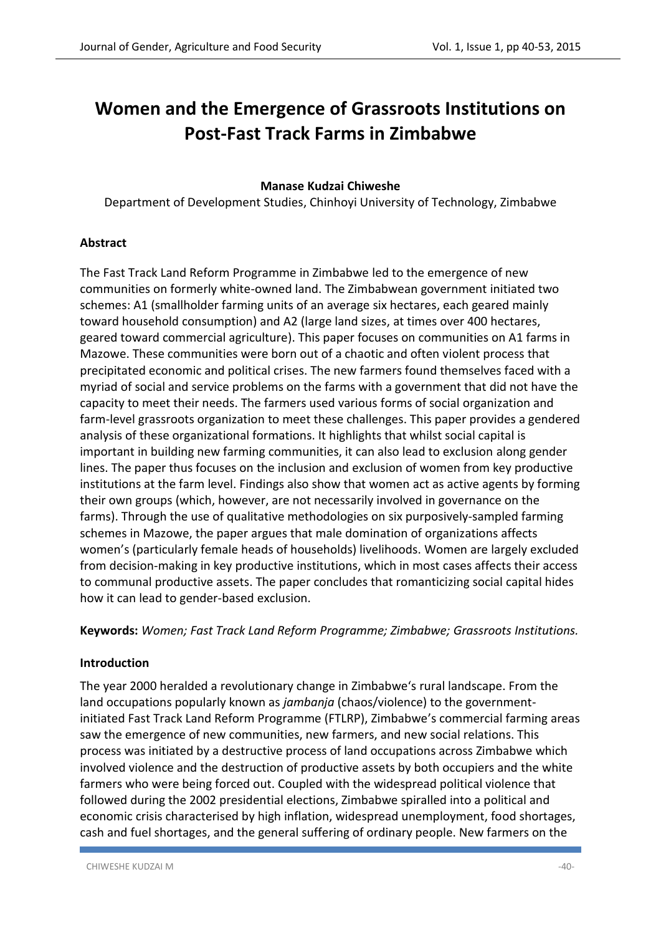# **Women and the Emergence of Grassroots Institutions on Post-Fast Track Farms in Zimbabwe**

## **Manase Kudzai Chiweshe**

Department of Development Studies, Chinhoyi University of Technology, Zimbabwe

## **Abstract**

The Fast Track Land Reform Programme in Zimbabwe led to the emergence of new communities on formerly white-owned land. The Zimbabwean government initiated two schemes: A1 (smallholder farming units of an average six hectares, each geared mainly toward household consumption) and A2 (large land sizes, at times over 400 hectares, geared toward commercial agriculture). This paper focuses on communities on A1 farms in Mazowe. These communities were born out of a chaotic and often violent process that precipitated economic and political crises. The new farmers found themselves faced with a myriad of social and service problems on the farms with a government that did not have the capacity to meet their needs. The farmers used various forms of social organization and farm-level grassroots organization to meet these challenges. This paper provides a gendered analysis of these organizational formations. It highlights that whilst social capital is important in building new farming communities, it can also lead to exclusion along gender lines. The paper thus focuses on the inclusion and exclusion of women from key productive institutions at the farm level. Findings also show that women act as active agents by forming their own groups (which, however, are not necessarily involved in governance on the farms). Through the use of qualitative methodologies on six purposively-sampled farming schemes in Mazowe, the paper argues that male domination of organizations affects women's (particularly female heads of households) livelihoods. Women are largely excluded from decision-making in key productive institutions, which in most cases affects their access to communal productive assets. The paper concludes that romanticizing social capital hides how it can lead to gender-based exclusion.

**Keywords:** *Women; Fast Track Land Reform Programme; Zimbabwe; Grassroots Institutions.*

#### **Introduction**

The year 2000 heralded a revolutionary change in Zimbabwe's rural landscape. From the land occupations popularly known as *jambanja* (chaos/violence) to the governmentinitiated Fast Track Land Reform Programme (FTLRP), Zimbabwe's commercial farming areas saw the emergence of new communities, new farmers, and new social relations. This process was initiated by a destructive process of land occupations across Zimbabwe which involved violence and the destruction of productive assets by both occupiers and the white farmers who were being forced out. Coupled with the widespread political violence that followed during the 2002 presidential elections, Zimbabwe spiralled into a political and economic crisis characterised by high inflation, widespread unemployment, food shortages, cash and fuel shortages, and the general suffering of ordinary people. New farmers on the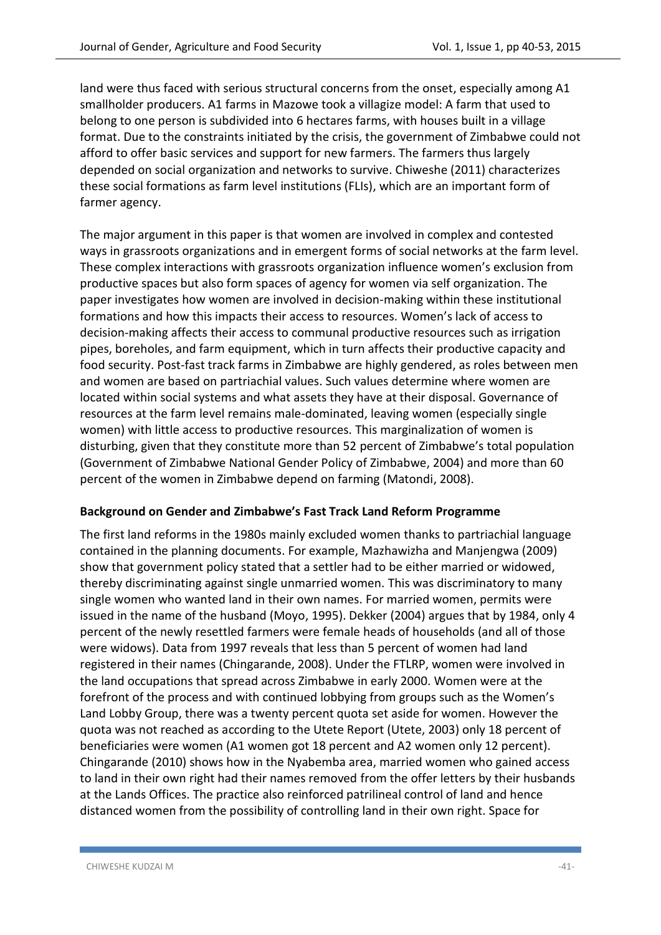land were thus faced with serious structural concerns from the onset, especially among A1 smallholder producers. A1 farms in Mazowe took a villagize model: A farm that used to belong to one person is subdivided into 6 hectares farms, with houses built in a village format. Due to the constraints initiated by the crisis, the government of Zimbabwe could not afford to offer basic services and support for new farmers. The farmers thus largely depended on social organization and networks to survive. Chiweshe (2011) characterizes these social formations as farm level institutions (FLIs), which are an important form of farmer agency.

The major argument in this paper is that women are involved in complex and contested ways in grassroots organizations and in emergent forms of social networks at the farm level. These complex interactions with grassroots organization influence women's exclusion from productive spaces but also form spaces of agency for women via self organization. The paper investigates how women are involved in decision-making within these institutional formations and how this impacts their access to resources. Women's lack of access to decision-making affects their access to communal productive resources such as irrigation pipes, boreholes, and farm equipment, which in turn affects their productive capacity and food security. Post-fast track farms in Zimbabwe are highly gendered, as roles between men and women are based on partriachial values. Such values determine where women are located within social systems and what assets they have at their disposal. Governance of resources at the farm level remains male-dominated, leaving women (especially single women) with little access to productive resources. This marginalization of women is disturbing, given that they constitute more than 52 percent of Zimbabwe's total population (Government of Zimbabwe National Gender Policy of Zimbabwe, 2004) and more than 60 percent of the women in Zimbabwe depend on farming (Matondi, 2008).

#### **Background on Gender and Zimbabwe's Fast Track Land Reform Programme**

The first land reforms in the 1980s mainly excluded women thanks to partriachial language contained in the planning documents. For example, Mazhawizha and Manjengwa (2009) show that government policy stated that a settler had to be either married or widowed, thereby discriminating against single unmarried women. This was discriminatory to many single women who wanted land in their own names. For married women, permits were issued in the name of the husband (Moyo, 1995). Dekker (2004) argues that by 1984, only 4 percent of the newly resettled farmers were female heads of households (and all of those were widows). Data from 1997 reveals that less than 5 percent of women had land registered in their names (Chingarande, 2008). Under the FTLRP, women were involved in the land occupations that spread across Zimbabwe in early 2000. Women were at the forefront of the process and with continued lobbying from groups such as the Women's Land Lobby Group, there was a twenty percent quota set aside for women. However the quota was not reached as according to the Utete Report (Utete, 2003) only 18 percent of beneficiaries were women (A1 women got 18 percent and A2 women only 12 percent). Chingarande (2010) shows how in the Nyabemba area, married women who gained access to land in their own right had their names removed from the offer letters by their husbands at the Lands Offices. The practice also reinforced patrilineal control of land and hence distanced women from the possibility of controlling land in their own right. Space for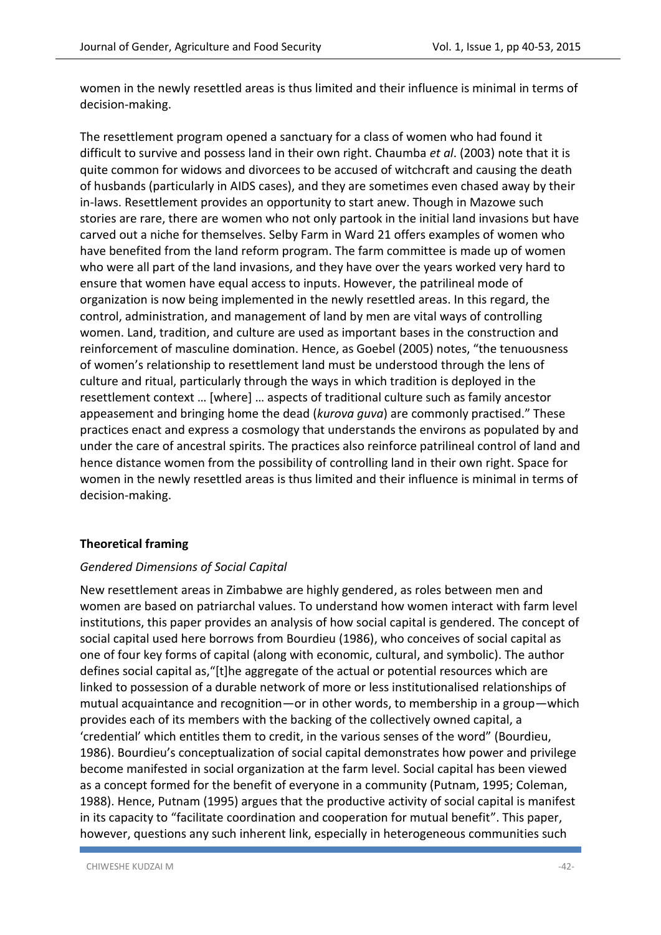women in the newly resettled areas is thus limited and their influence is minimal in terms of decision-making.

The resettlement program opened a sanctuary for a class of women who had found it difficult to survive and possess land in their own right. Chaumba *et al*. (2003) note that it is quite common for widows and divorcees to be accused of witchcraft and causing the death of husbands (particularly in AIDS cases), and they are sometimes even chased away by their in-laws. Resettlement provides an opportunity to start anew. Though in Mazowe such stories are rare, there are women who not only partook in the initial land invasions but have carved out a niche for themselves. Selby Farm in Ward 21 offers examples of women who have benefited from the land reform program. The farm committee is made up of women who were all part of the land invasions, and they have over the years worked very hard to ensure that women have equal access to inputs. However, the patrilineal mode of organization is now being implemented in the newly resettled areas. In this regard, the control, administration, and management of land by men are vital ways of controlling women. Land, tradition, and culture are used as important bases in the construction and reinforcement of masculine domination. Hence, as Goebel (2005) notes, "the tenuousness of women's relationship to resettlement land must be understood through the lens of culture and ritual, particularly through the ways in which tradition is deployed in the resettlement context … [where] … aspects of traditional culture such as family ancestor appeasement and bringing home the dead (*kurova guva*) are commonly practised." These practices enact and express a cosmology that understands the environs as populated by and under the care of ancestral spirits. The practices also reinforce patrilineal control of land and hence distance women from the possibility of controlling land in their own right. Space for women in the newly resettled areas is thus limited and their influence is minimal in terms of decision-making.

## **Theoretical framing**

## *Gendered Dimensions of Social Capital*

New resettlement areas in Zimbabwe are highly gendered, as roles between men and women are based on patriarchal values. To understand how women interact with farm level institutions, this paper provides an analysis of how social capital is gendered. The concept of social capital used here borrows from Bourdieu (1986), who conceives of social capital as one of four key forms of capital (along with economic, cultural, and symbolic). The author defines social capital as,"[t]he aggregate of the actual or potential resources which are linked to possession of a durable network of more or less institutionalised relationships of mutual acquaintance and recognition—or in other words, to membership in a group—which provides each of its members with the backing of the collectively owned capital, a 'credential' which entitles them to credit, in the various senses of the word" (Bourdieu, 1986). Bourdieu's conceptualization of social capital demonstrates how power and privilege become manifested in social organization at the farm level. Social capital has been viewed as a concept formed for the benefit of everyone in a community (Putnam, 1995; Coleman, 1988). Hence, Putnam (1995) argues that the productive activity of social capital is manifest in its capacity to "facilitate coordination and cooperation for mutual benefit". This paper, however, questions any such inherent link, especially in heterogeneous communities such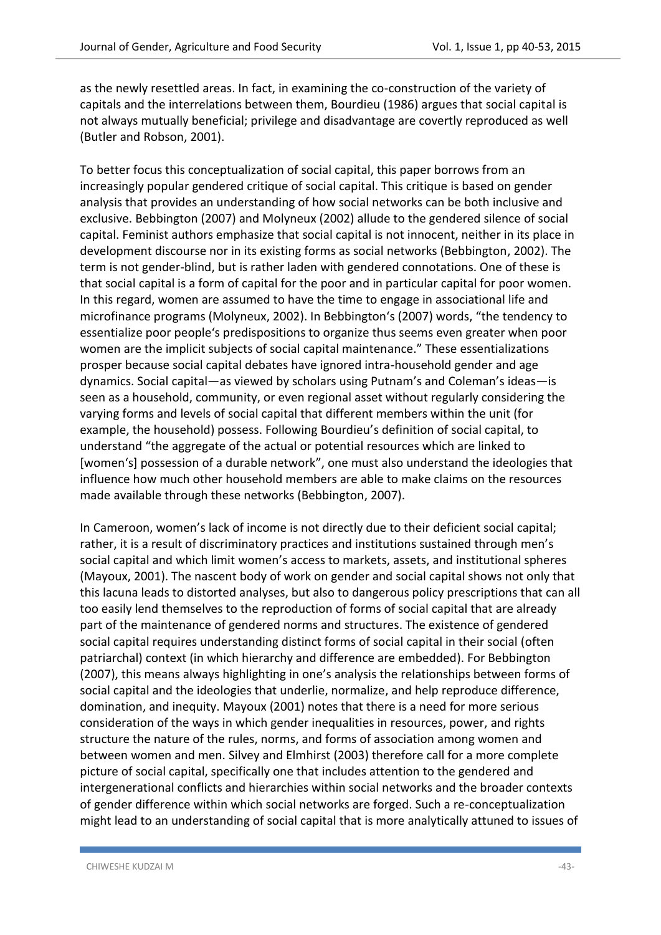as the newly resettled areas. In fact, in examining the co-construction of the variety of capitals and the interrelations between them, Bourdieu (1986) argues that social capital is not always mutually beneficial; privilege and disadvantage are covertly reproduced as well (Butler and Robson, 2001).

To better focus this conceptualization of social capital, this paper borrows from an increasingly popular gendered critique of social capital. This critique is based on gender analysis that provides an understanding of how social networks can be both inclusive and exclusive. Bebbington (2007) and Molyneux (2002) allude to the gendered silence of social capital. Feminist authors emphasize that social capital is not innocent, neither in its place in development discourse nor in its existing forms as social networks (Bebbington, 2002). The term is not gender-blind, but is rather laden with gendered connotations. One of these is that social capital is a form of capital for the poor and in particular capital for poor women. In this regard, women are assumed to have the time to engage in associational life and microfinance programs (Molyneux, 2002). In Bebbington's (2007) words, "the tendency to essentialize poor people's predispositions to organize thus seems even greater when poor women are the implicit subjects of social capital maintenance." These essentializations prosper because social capital debates have ignored intra-household gender and age dynamics. Social capital—as viewed by scholars using Putnam's and Coleman's ideas—is seen as a household, community, or even regional asset without regularly considering the varying forms and levels of social capital that different members within the unit (for example, the household) possess. Following Bourdieu's definition of social capital, to understand "the aggregate of the actual or potential resources which are linked to [women's] possession of a durable network", one must also understand the ideologies that influence how much other household members are able to make claims on the resources made available through these networks (Bebbington, 2007).

In Cameroon, women's lack of income is not directly due to their deficient social capital; rather, it is a result of discriminatory practices and institutions sustained through men's social capital and which limit women's access to markets, assets, and institutional spheres (Mayoux, 2001). The nascent body of work on gender and social capital shows not only that this lacuna leads to distorted analyses, but also to dangerous policy prescriptions that can all too easily lend themselves to the reproduction of forms of social capital that are already part of the maintenance of gendered norms and structures. The existence of gendered social capital requires understanding distinct forms of social capital in their social (often patriarchal) context (in which hierarchy and difference are embedded). For Bebbington (2007), this means always highlighting in one's analysis the relationships between forms of social capital and the ideologies that underlie, normalize, and help reproduce difference, domination, and inequity. Mayoux (2001) notes that there is a need for more serious consideration of the ways in which gender inequalities in resources, power, and rights structure the nature of the rules, norms, and forms of association among women and between women and men. Silvey and Elmhirst (2003) therefore call for a more complete picture of social capital, specifically one that includes attention to the gendered and intergenerational conflicts and hierarchies within social networks and the broader contexts of gender difference within which social networks are forged. Such a re-conceptualization might lead to an understanding of social capital that is more analytically attuned to issues of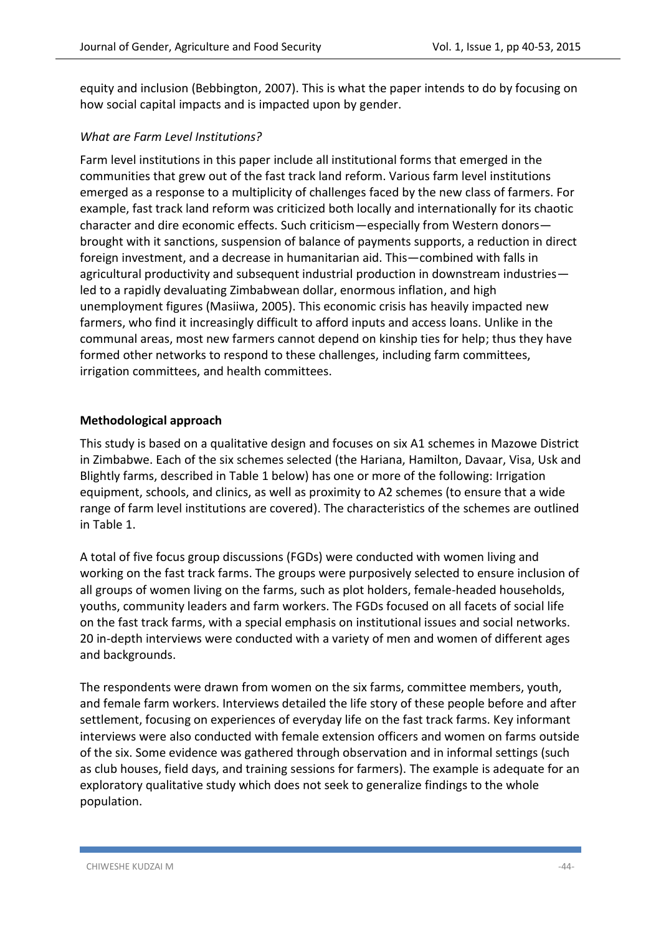equity and inclusion (Bebbington, 2007). This is what the paper intends to do by focusing on how social capital impacts and is impacted upon by gender.

## *What are Farm Level Institutions?*

Farm level institutions in this paper include all institutional forms that emerged in the communities that grew out of the fast track land reform. Various farm level institutions emerged as a response to a multiplicity of challenges faced by the new class of farmers. For example, fast track land reform was criticized both locally and internationally for its chaotic character and dire economic effects. Such criticism—especially from Western donors brought with it sanctions, suspension of balance of payments supports, a reduction in direct foreign investment, and a decrease in humanitarian aid. This—combined with falls in agricultural productivity and subsequent industrial production in downstream industries led to a rapidly devaluating Zimbabwean dollar, enormous inflation, and high unemployment figures (Masiiwa, 2005). This economic crisis has heavily impacted new farmers, who find it increasingly difficult to afford inputs and access loans. Unlike in the communal areas, most new farmers cannot depend on kinship ties for help; thus they have formed other networks to respond to these challenges, including farm committees, irrigation committees, and health committees.

## **Methodological approach**

This study is based on a qualitative design and focuses on six A1 schemes in Mazowe District in Zimbabwe. Each of the six schemes selected (the Hariana, Hamilton, Davaar, Visa, Usk and Blightly farms, described in Table 1 below) has one or more of the following: Irrigation equipment, schools, and clinics, as well as proximity to A2 schemes (to ensure that a wide range of farm level institutions are covered). The characteristics of the schemes are outlined in Table 1.

A total of five focus group discussions (FGDs) were conducted with women living and working on the fast track farms. The groups were purposively selected to ensure inclusion of all groups of women living on the farms, such as plot holders, female-headed households, youths, community leaders and farm workers. The FGDs focused on all facets of social life on the fast track farms, with a special emphasis on institutional issues and social networks. 20 in-depth interviews were conducted with a variety of men and women of different ages and backgrounds.

The respondents were drawn from women on the six farms, committee members, youth, and female farm workers. Interviews detailed the life story of these people before and after settlement, focusing on experiences of everyday life on the fast track farms. Key informant interviews were also conducted with female extension officers and women on farms outside of the six. Some evidence was gathered through observation and in informal settings (such as club houses, field days, and training sessions for farmers). The example is adequate for an exploratory qualitative study which does not seek to generalize findings to the whole population.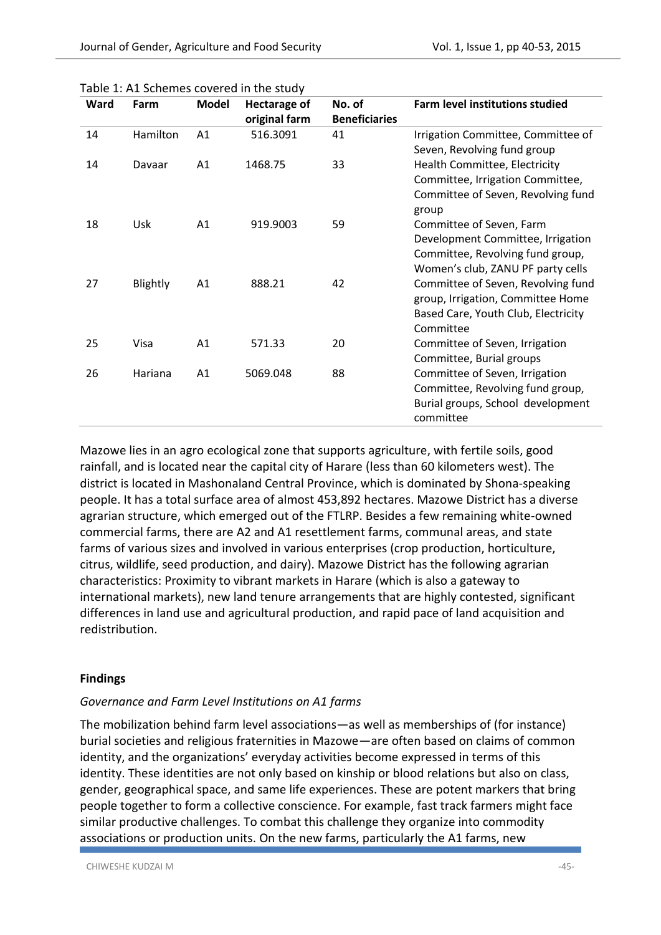| Ward | Farm     | <b>Model</b> | <b>Hectarage of</b><br>original farm | No. of<br><b>Beneficiaries</b> | Farm level institutions studied                                                                                                        |
|------|----------|--------------|--------------------------------------|--------------------------------|----------------------------------------------------------------------------------------------------------------------------------------|
| 14   | Hamilton | A1           | 516.3091                             | 41                             | Irrigation Committee, Committee of<br>Seven, Revolving fund group                                                                      |
| 14   | Davaar   | A1           | 1468.75                              | 33                             | Health Committee, Electricity<br>Committee, Irrigation Committee,<br>Committee of Seven, Revolving fund<br>group                       |
| 18   | Usk      | A1           | 919.9003                             | 59                             | Committee of Seven, Farm<br>Development Committee, Irrigation<br>Committee, Revolving fund group,<br>Women's club, ZANU PF party cells |
| 27   | Blightly | A1           | 888.21                               | 42                             | Committee of Seven, Revolving fund<br>group, Irrigation, Committee Home<br>Based Care, Youth Club, Electricity<br>Committee            |
| 25   | Visa     | A1           | 571.33                               | 20                             | Committee of Seven, Irrigation<br>Committee, Burial groups                                                                             |
| 26   | Hariana  | A1           | 5069.048                             | 88                             | Committee of Seven, Irrigation<br>Committee, Revolving fund group,<br>Burial groups, School development<br>committee                   |

|  | Table 1: A1 Schemes covered in the study |  |  |
|--|------------------------------------------|--|--|
|  |                                          |  |  |

Mazowe lies in an agro ecological zone that supports agriculture, with fertile soils, good rainfall, and is located near the capital city of Harare (less than 60 kilometers west). The district is located in Mashonaland Central Province, which is dominated by Shona-speaking people. It has a total surface area of almost 453,892 hectares. Mazowe District has a diverse agrarian structure, which emerged out of the FTLRP. Besides a few remaining white-owned commercial farms, there are A2 and A1 resettlement farms, communal areas, and state farms of various sizes and involved in various enterprises (crop production, horticulture, citrus, wildlife, seed production, and dairy). Mazowe District has the following agrarian characteristics: Proximity to vibrant markets in Harare (which is also a gateway to international markets), new land tenure arrangements that are highly contested, significant differences in land use and agricultural production, and rapid pace of land acquisition and redistribution.

#### **Findings**

#### *Governance and Farm Level Institutions on A1 farms*

The mobilization behind farm level associations—as well as memberships of (for instance) burial societies and religious fraternities in Mazowe—are often based on claims of common identity, and the organizations' everyday activities become expressed in terms of this identity. These identities are not only based on kinship or blood relations but also on class, gender, geographical space, and same life experiences. These are potent markers that bring people together to form a collective conscience. For example, fast track farmers might face similar productive challenges. To combat this challenge they organize into commodity associations or production units. On the new farms, particularly the A1 farms, new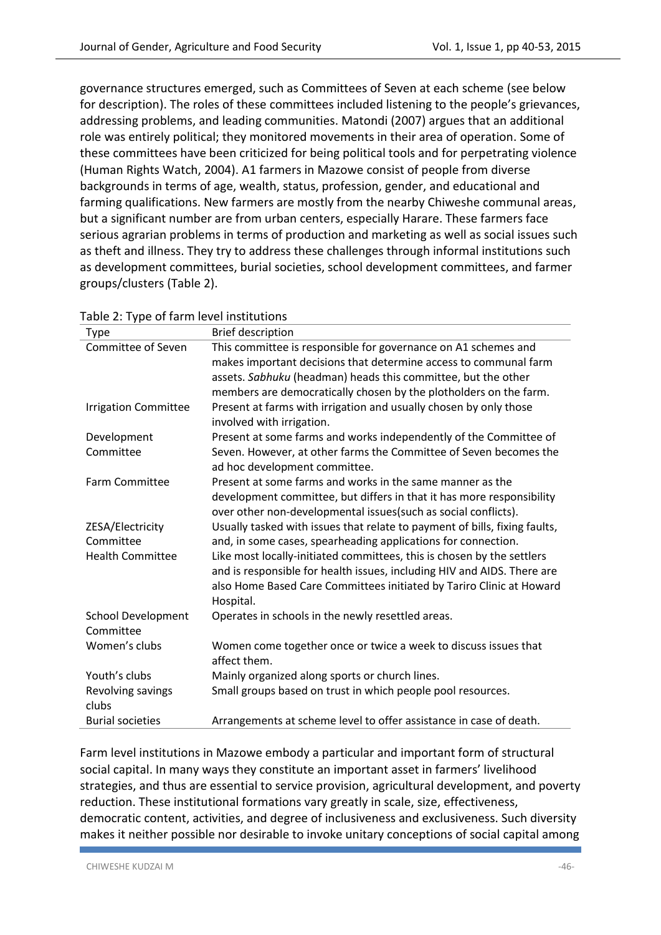governance structures emerged, such as Committees of Seven at each scheme (see below for description). The roles of these committees included listening to the people's grievances, addressing problems, and leading communities. Matondi (2007) argues that an additional role was entirely political; they monitored movements in their area of operation. Some of these committees have been criticized for being political tools and for perpetrating violence (Human Rights Watch, 2004). A1 farmers in Mazowe consist of people from diverse backgrounds in terms of age, wealth, status, profession, gender, and educational and farming qualifications. New farmers are mostly from the nearby Chiweshe communal areas, but a significant number are from urban centers, especially Harare. These farmers face serious agrarian problems in terms of production and marketing as well as social issues such as theft and illness. They try to address these challenges through informal institutions such as development committees, burial societies, school development committees, and farmer groups/clusters (Table 2).

| Type                        | <b>Brief description</b>                                                                           |  |  |  |
|-----------------------------|----------------------------------------------------------------------------------------------------|--|--|--|
| Committee of Seven          | This committee is responsible for governance on A1 schemes and                                     |  |  |  |
|                             | makes important decisions that determine access to communal farm                                   |  |  |  |
|                             | assets. Sabhuku (headman) heads this committee, but the other                                      |  |  |  |
|                             | members are democratically chosen by the plotholders on the farm.                                  |  |  |  |
| <b>Irrigation Committee</b> | Present at farms with irrigation and usually chosen by only those                                  |  |  |  |
|                             | involved with irrigation.                                                                          |  |  |  |
| Development                 | Present at some farms and works independently of the Committee of                                  |  |  |  |
| Committee                   | Seven. However, at other farms the Committee of Seven becomes the<br>ad hoc development committee. |  |  |  |
| <b>Farm Committee</b>       | Present at some farms and works in the same manner as the                                          |  |  |  |
|                             | development committee, but differs in that it has more responsibility                              |  |  |  |
|                             | over other non-developmental issues (such as social conflicts).                                    |  |  |  |
| ZESA/Electricity            | Usually tasked with issues that relate to payment of bills, fixing faults,                         |  |  |  |
| Committee                   | and, in some cases, spearheading applications for connection.                                      |  |  |  |
| <b>Health Committee</b>     | Like most locally-initiated committees, this is chosen by the settlers                             |  |  |  |
|                             | and is responsible for health issues, including HIV and AIDS. There are                            |  |  |  |
|                             | also Home Based Care Committees initiated by Tariro Clinic at Howard                               |  |  |  |
|                             | Hospital.                                                                                          |  |  |  |
| <b>School Development</b>   | Operates in schools in the newly resettled areas.                                                  |  |  |  |
| Committee                   |                                                                                                    |  |  |  |
| Women's clubs               | Women come together once or twice a week to discuss issues that                                    |  |  |  |
|                             | affect them.                                                                                       |  |  |  |
| Youth's clubs               | Mainly organized along sports or church lines.                                                     |  |  |  |
| Revolving savings<br>clubs  | Small groups based on trust in which people pool resources.                                        |  |  |  |
| <b>Burial societies</b>     | Arrangements at scheme level to offer assistance in case of death.                                 |  |  |  |
|                             |                                                                                                    |  |  |  |

| Table 2: Type of farm level institutions |  |
|------------------------------------------|--|
|------------------------------------------|--|

Farm level institutions in Mazowe embody a particular and important form of structural social capital. In many ways they constitute an important asset in farmers' livelihood strategies, and thus are essential to service provision, agricultural development, and poverty reduction. These institutional formations vary greatly in scale, size, effectiveness, democratic content, activities, and degree of inclusiveness and exclusiveness. Such diversity makes it neither possible nor desirable to invoke unitary conceptions of social capital among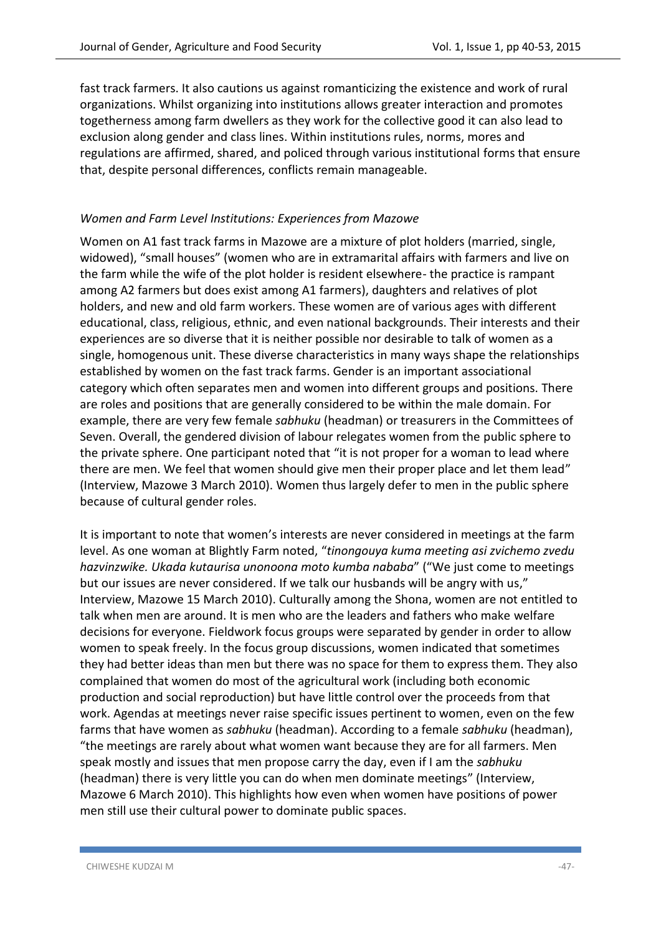fast track farmers. It also cautions us against romanticizing the existence and work of rural organizations. Whilst organizing into institutions allows greater interaction and promotes togetherness among farm dwellers as they work for the collective good it can also lead to exclusion along gender and class lines. Within institutions rules, norms, mores and regulations are affirmed, shared, and policed through various institutional forms that ensure that, despite personal differences, conflicts remain manageable.

## *Women and Farm Level Institutions: Experiences from Mazowe*

Women on A1 fast track farms in Mazowe are a mixture of plot holders (married, single, widowed), "small houses" (women who are in extramarital affairs with farmers and live on the farm while the wife of the plot holder is resident elsewhere- the practice is rampant among A2 farmers but does exist among A1 farmers), daughters and relatives of plot holders, and new and old farm workers. These women are of various ages with different educational, class, religious, ethnic, and even national backgrounds. Their interests and their experiences are so diverse that it is neither possible nor desirable to talk of women as a single, homogenous unit. These diverse characteristics in many ways shape the relationships established by women on the fast track farms. Gender is an important associational category which often separates men and women into different groups and positions. There are roles and positions that are generally considered to be within the male domain. For example, there are very few female *sabhuku* (headman) or treasurers in the Committees of Seven. Overall, the gendered division of labour relegates women from the public sphere to the private sphere. One participant noted that "it is not proper for a woman to lead where there are men. We feel that women should give men their proper place and let them lead" (Interview, Mazowe 3 March 2010). Women thus largely defer to men in the public sphere because of cultural gender roles.

It is important to note that women's interests are never considered in meetings at the farm level. As one woman at Blightly Farm noted, "*tinongouya kuma meeting asi zvichemo zvedu hazvinzwike. Ukada kutaurisa unonoona moto kumba nababa*" ("We just come to meetings but our issues are never considered. If we talk our husbands will be angry with us," Interview, Mazowe 15 March 2010). Culturally among the Shona, women are not entitled to talk when men are around. It is men who are the leaders and fathers who make welfare decisions for everyone. Fieldwork focus groups were separated by gender in order to allow women to speak freely. In the focus group discussions, women indicated that sometimes they had better ideas than men but there was no space for them to express them. They also complained that women do most of the agricultural work (including both economic production and social reproduction) but have little control over the proceeds from that work. Agendas at meetings never raise specific issues pertinent to women, even on the few farms that have women as *sabhuku* (headman). According to a female *sabhuku* (headman), "the meetings are rarely about what women want because they are for all farmers. Men speak mostly and issues that men propose carry the day, even if I am the *sabhuku* (headman) there is very little you can do when men dominate meetings" (Interview, Mazowe 6 March 2010). This highlights how even when women have positions of power men still use their cultural power to dominate public spaces.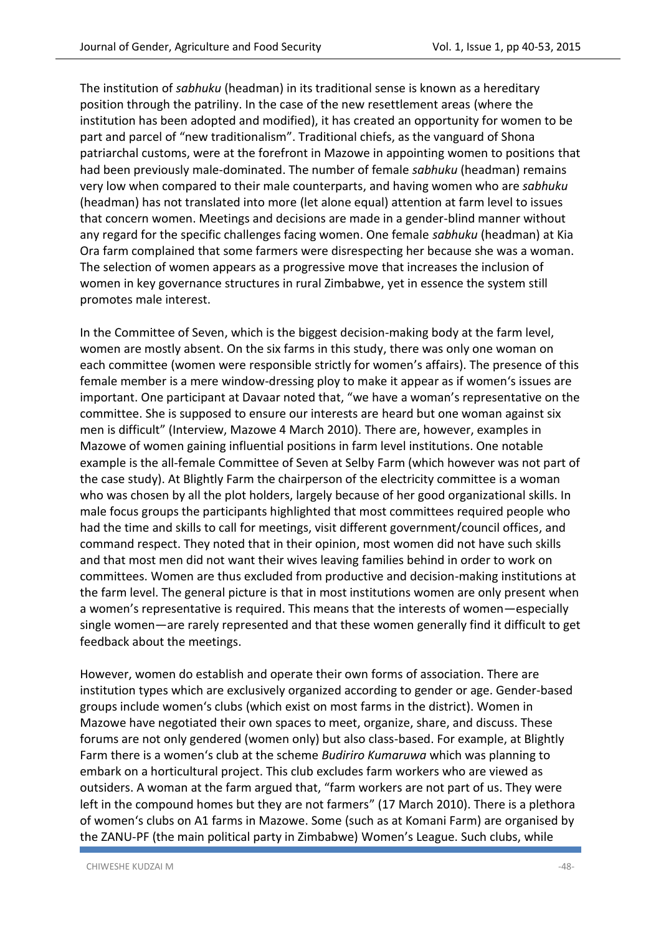The institution of *sabhuku* (headman) in its traditional sense is known as a hereditary position through the patriliny. In the case of the new resettlement areas (where the institution has been adopted and modified), it has created an opportunity for women to be part and parcel of "new traditionalism". Traditional chiefs, as the vanguard of Shona patriarchal customs, were at the forefront in Mazowe in appointing women to positions that had been previously male-dominated. The number of female *sabhuku* (headman) remains very low when compared to their male counterparts, and having women who are *sabhuku* (headman) has not translated into more (let alone equal) attention at farm level to issues that concern women. Meetings and decisions are made in a gender-blind manner without any regard for the specific challenges facing women. One female *sabhuku* (headman) at Kia Ora farm complained that some farmers were disrespecting her because she was a woman. The selection of women appears as a progressive move that increases the inclusion of women in key governance structures in rural Zimbabwe, yet in essence the system still promotes male interest.

In the Committee of Seven, which is the biggest decision-making body at the farm level, women are mostly absent. On the six farms in this study, there was only one woman on each committee (women were responsible strictly for women's affairs). The presence of this female member is a mere window-dressing ploy to make it appear as if women's issues are important. One participant at Davaar noted that, "we have a woman's representative on the committee. She is supposed to ensure our interests are heard but one woman against six men is difficult" (Interview, Mazowe 4 March 2010). There are, however, examples in Mazowe of women gaining influential positions in farm level institutions. One notable example is the all-female Committee of Seven at Selby Farm (which however was not part of the case study). At Blightly Farm the chairperson of the electricity committee is a woman who was chosen by all the plot holders, largely because of her good organizational skills. In male focus groups the participants highlighted that most committees required people who had the time and skills to call for meetings, visit different government/council offices, and command respect. They noted that in their opinion, most women did not have such skills and that most men did not want their wives leaving families behind in order to work on committees. Women are thus excluded from productive and decision-making institutions at the farm level. The general picture is that in most institutions women are only present when a women's representative is required. This means that the interests of women—especially single women—are rarely represented and that these women generally find it difficult to get feedback about the meetings.

However, women do establish and operate their own forms of association. There are institution types which are exclusively organized according to gender or age. Gender-based groups include women's clubs (which exist on most farms in the district). Women in Mazowe have negotiated their own spaces to meet, organize, share, and discuss. These forums are not only gendered (women only) but also class-based. For example, at Blightly Farm there is a women's club at the scheme *Budiriro Kumaruwa* which was planning to embark on a horticultural project. This club excludes farm workers who are viewed as outsiders. A woman at the farm argued that, "farm workers are not part of us. They were left in the compound homes but they are not farmers" (17 March 2010). There is a plethora of women's clubs on A1 farms in Mazowe. Some (such as at Komani Farm) are organised by the ZANU-PF (the main political party in Zimbabwe) Women's League. Such clubs, while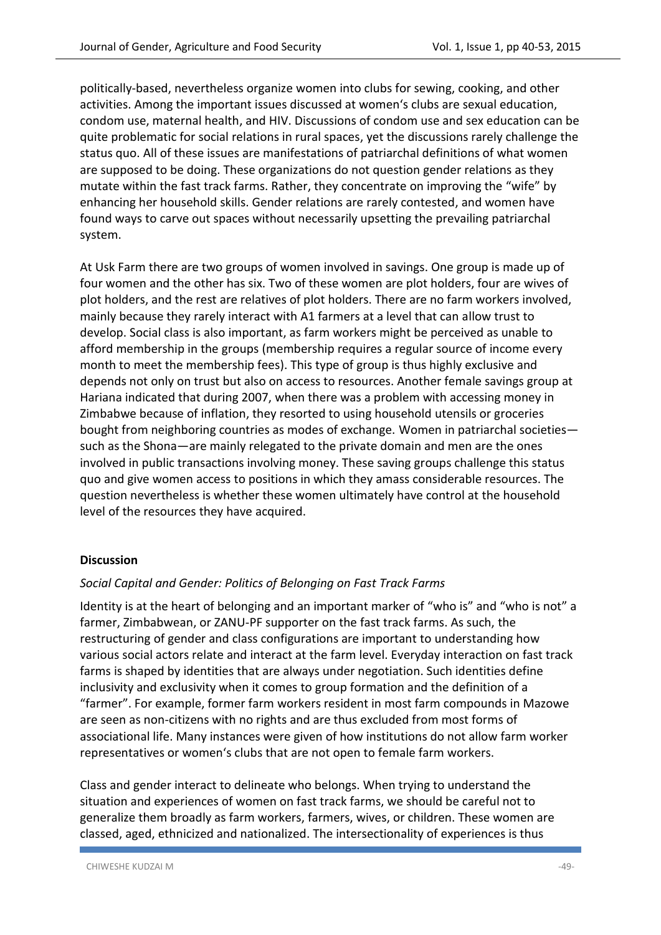politically-based, nevertheless organize women into clubs for sewing, cooking, and other activities. Among the important issues discussed at women's clubs are sexual education, condom use, maternal health, and HIV. Discussions of condom use and sex education can be quite problematic for social relations in rural spaces, yet the discussions rarely challenge the status quo. All of these issues are manifestations of patriarchal definitions of what women are supposed to be doing. These organizations do not question gender relations as they mutate within the fast track farms. Rather, they concentrate on improving the "wife" by enhancing her household skills. Gender relations are rarely contested, and women have found ways to carve out spaces without necessarily upsetting the prevailing patriarchal system.

At Usk Farm there are two groups of women involved in savings. One group is made up of four women and the other has six. Two of these women are plot holders, four are wives of plot holders, and the rest are relatives of plot holders. There are no farm workers involved, mainly because they rarely interact with A1 farmers at a level that can allow trust to develop. Social class is also important, as farm workers might be perceived as unable to afford membership in the groups (membership requires a regular source of income every month to meet the membership fees). This type of group is thus highly exclusive and depends not only on trust but also on access to resources. Another female savings group at Hariana indicated that during 2007, when there was a problem with accessing money in Zimbabwe because of inflation, they resorted to using household utensils or groceries bought from neighboring countries as modes of exchange. Women in patriarchal societies such as the Shona—are mainly relegated to the private domain and men are the ones involved in public transactions involving money. These saving groups challenge this status quo and give women access to positions in which they amass considerable resources. The question nevertheless is whether these women ultimately have control at the household level of the resources they have acquired.

## **Discussion**

#### *Social Capital and Gender: Politics of Belonging on Fast Track Farms*

Identity is at the heart of belonging and an important marker of "who is" and "who is not" a farmer, Zimbabwean, or ZANU-PF supporter on the fast track farms. As such, the restructuring of gender and class configurations are important to understanding how various social actors relate and interact at the farm level. Everyday interaction on fast track farms is shaped by identities that are always under negotiation. Such identities define inclusivity and exclusivity when it comes to group formation and the definition of a "farmer". For example, former farm workers resident in most farm compounds in Mazowe are seen as non-citizens with no rights and are thus excluded from most forms of associational life. Many instances were given of how institutions do not allow farm worker representatives or women's clubs that are not open to female farm workers.

Class and gender interact to delineate who belongs. When trying to understand the situation and experiences of women on fast track farms, we should be careful not to generalize them broadly as farm workers, farmers, wives, or children. These women are classed, aged, ethnicized and nationalized. The intersectionality of experiences is thus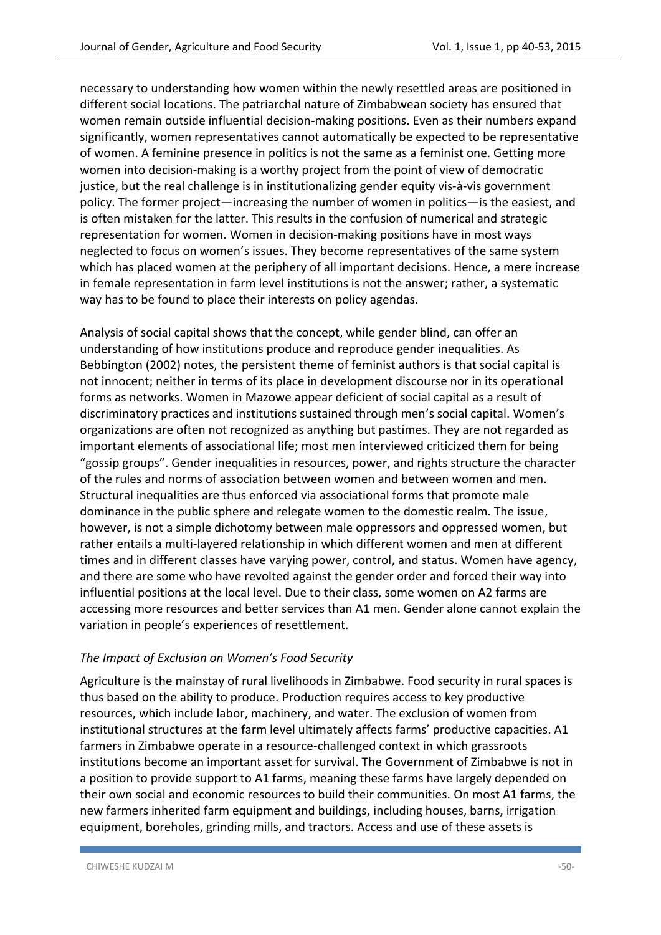necessary to understanding how women within the newly resettled areas are positioned in different social locations. The patriarchal nature of Zimbabwean society has ensured that women remain outside influential decision-making positions. Even as their numbers expand significantly, women representatives cannot automatically be expected to be representative of women. A feminine presence in politics is not the same as a feminist one. Getting more women into decision-making is a worthy project from the point of view of democratic justice, but the real challenge is in institutionalizing gender equity vis-à-vis government policy. The former project—increasing the number of women in politics—is the easiest, and is often mistaken for the latter. This results in the confusion of numerical and strategic representation for women. Women in decision-making positions have in most ways neglected to focus on women's issues. They become representatives of the same system which has placed women at the periphery of all important decisions. Hence, a mere increase in female representation in farm level institutions is not the answer; rather, a systematic way has to be found to place their interests on policy agendas.

Analysis of social capital shows that the concept, while gender blind, can offer an understanding of how institutions produce and reproduce gender inequalities. As Bebbington (2002) notes, the persistent theme of feminist authors is that social capital is not innocent; neither in terms of its place in development discourse nor in its operational forms as networks. Women in Mazowe appear deficient of social capital as a result of discriminatory practices and institutions sustained through men's social capital. Women's organizations are often not recognized as anything but pastimes. They are not regarded as important elements of associational life; most men interviewed criticized them for being "gossip groups". Gender inequalities in resources, power, and rights structure the character of the rules and norms of association between women and between women and men. Structural inequalities are thus enforced via associational forms that promote male dominance in the public sphere and relegate women to the domestic realm. The issue, however, is not a simple dichotomy between male oppressors and oppressed women, but rather entails a multi-layered relationship in which different women and men at different times and in different classes have varying power, control, and status. Women have agency, and there are some who have revolted against the gender order and forced their way into influential positions at the local level. Due to their class, some women on A2 farms are accessing more resources and better services than A1 men. Gender alone cannot explain the variation in people's experiences of resettlement.

## *The Impact of Exclusion on Women's Food Security*

Agriculture is the mainstay of rural livelihoods in Zimbabwe. Food security in rural spaces is thus based on the ability to produce. Production requires access to key productive resources, which include labor, machinery, and water. The exclusion of women from institutional structures at the farm level ultimately affects farms' productive capacities. A1 farmers in Zimbabwe operate in a resource-challenged context in which grassroots institutions become an important asset for survival. The Government of Zimbabwe is not in a position to provide support to A1 farms, meaning these farms have largely depended on their own social and economic resources to build their communities. On most A1 farms, the new farmers inherited farm equipment and buildings, including houses, barns, irrigation equipment, boreholes, grinding mills, and tractors. Access and use of these assets is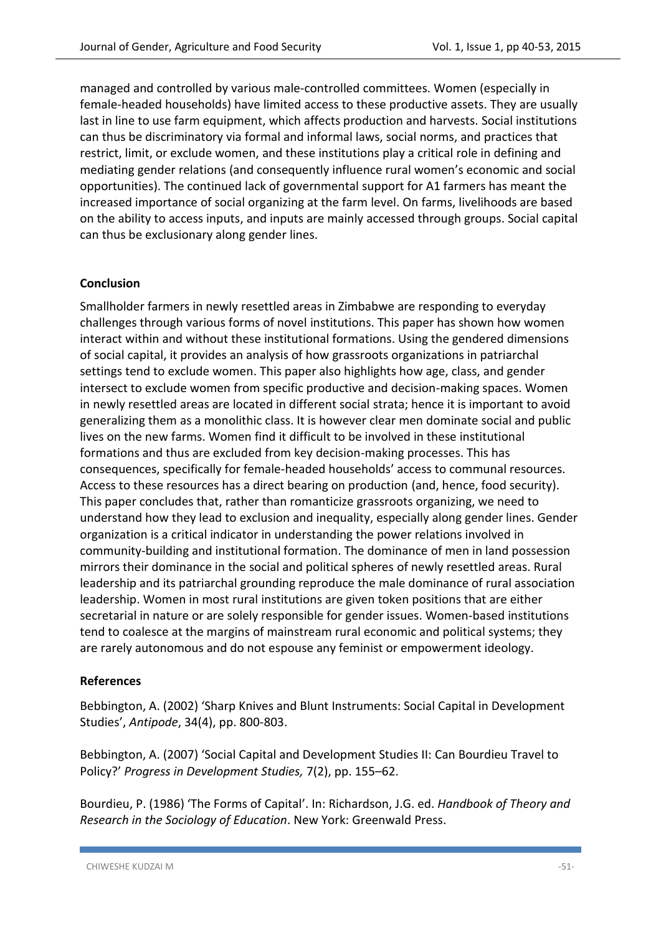managed and controlled by various male-controlled committees. Women (especially in female-headed households) have limited access to these productive assets. They are usually last in line to use farm equipment, which affects production and harvests. Social institutions can thus be discriminatory via formal and informal laws, social norms, and practices that restrict, limit, or exclude women, and these institutions play a critical role in defining and mediating gender relations (and consequently influence rural women's economic and social opportunities). The continued lack of governmental support for A1 farmers has meant the increased importance of social organizing at the farm level. On farms, livelihoods are based on the ability to access inputs, and inputs are mainly accessed through groups. Social capital can thus be exclusionary along gender lines.

## **Conclusion**

Smallholder farmers in newly resettled areas in Zimbabwe are responding to everyday challenges through various forms of novel institutions. This paper has shown how women interact within and without these institutional formations. Using the gendered dimensions of social capital, it provides an analysis of how grassroots organizations in patriarchal settings tend to exclude women. This paper also highlights how age, class, and gender intersect to exclude women from specific productive and decision-making spaces. Women in newly resettled areas are located in different social strata; hence it is important to avoid generalizing them as a monolithic class. It is however clear men dominate social and public lives on the new farms. Women find it difficult to be involved in these institutional formations and thus are excluded from key decision-making processes. This has consequences, specifically for female-headed households' access to communal resources. Access to these resources has a direct bearing on production (and, hence, food security). This paper concludes that, rather than romanticize grassroots organizing, we need to understand how they lead to exclusion and inequality, especially along gender lines. Gender organization is a critical indicator in understanding the power relations involved in community-building and institutional formation. The dominance of men in land possession mirrors their dominance in the social and political spheres of newly resettled areas. Rural leadership and its patriarchal grounding reproduce the male dominance of rural association leadership. Women in most rural institutions are given token positions that are either secretarial in nature or are solely responsible for gender issues. Women-based institutions tend to coalesce at the margins of mainstream rural economic and political systems; they are rarely autonomous and do not espouse any feminist or empowerment ideology.

#### **References**

Bebbington, A. (2002) 'Sharp Knives and Blunt Instruments: Social Capital in Development Studies', *Antipode*, 34(4), pp. 800-803.

Bebbington, A. (2007) 'Social Capital and Development Studies II: Can Bourdieu Travel to Policy?' *Progress in Development Studies,* 7(2), pp. 155–62.

Bourdieu, P. (1986) 'The Forms of Capital'. In: Richardson, J.G. ed. *Handbook of Theory and Research in the Sociology of Education*. New York: Greenwald Press.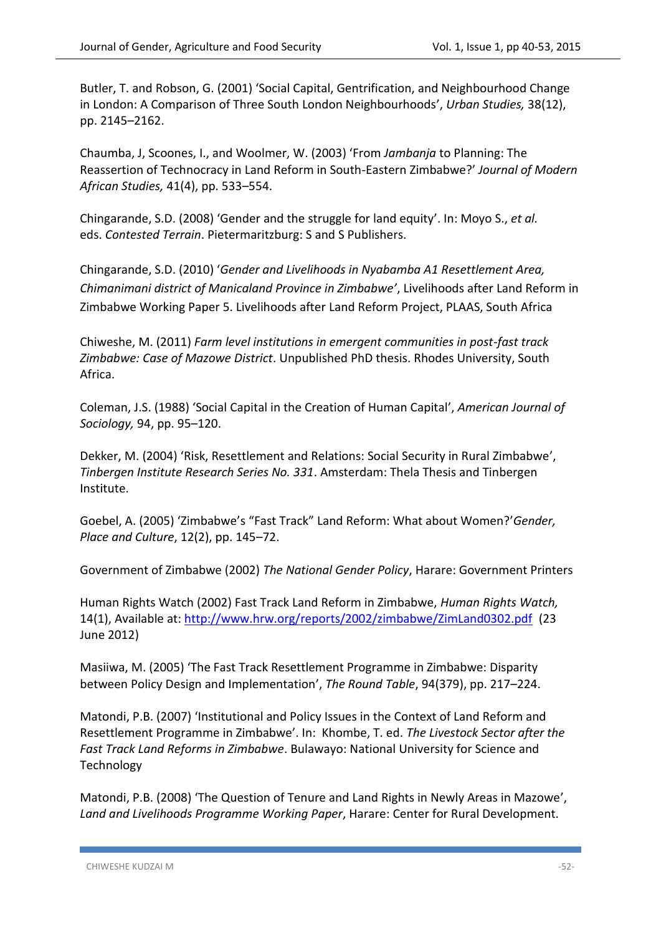Butler, T. and Robson, G. (2001) 'Social Capital, Gentrification, and Neighbourhood Change in London: A Comparison of Three South London Neighbourhoods', *Urban Studies,* 38(12), pp. 2145–2162.

Chaumba, J, Scoones, I., and Woolmer, W. (2003) 'From *Jambanja* to Planning: The Reassertion of Technocracy in Land Reform in South-Eastern Zimbabwe?' *Journal of Modern African Studies,* 41(4), pp. 533–554.

Chingarande, S.D. (2008) 'Gender and the struggle for land equity'. In: Moyo S., *et al.* eds. *Contested Terrain*. Pietermaritzburg: S and S Publishers.

Chingarande, S.D. (2010) '*Gender and Livelihoods in Nyabamba A1 Resettlement Area, Chimanimani district of Manicaland Province in Zimbabwe'*, Livelihoods after Land Reform in Zimbabwe Working Paper 5. Livelihoods after Land Reform Project, PLAAS, South Africa

Chiweshe, M. (2011) *Farm level institutions in emergent communities in post-fast track Zimbabwe: Case of Mazowe District*. Unpublished PhD thesis. Rhodes University, South Africa.

Coleman, J.S. (1988) 'Social Capital in the Creation of Human Capital', *American Journal of Sociology,* 94, pp. 95–120.

Dekker, M. (2004) 'Risk, Resettlement and Relations: Social Security in Rural Zimbabwe', *Tinbergen Institute Research Series No. 331*. Amsterdam: Thela Thesis and Tinbergen Institute.

Goebel, A. (2005) 'Zimbabwe's "Fast Track" Land Reform: What about Women?'*Gender, Place and Culture*, 12(2), pp. 145–72.

Government of Zimbabwe (2002) *The National Gender Policy*, Harare: Government Printers

Human Rights Watch (2002) Fast Track Land Reform in Zimbabwe, *Human Rights Watch,*  14(1), Available at:<http://www.hrw.org/reports/2002/zimbabwe/ZimLand0302.pdf>(23 June 2012)

Masiiwa, M. (2005) 'The Fast Track Resettlement Programme in Zimbabwe: Disparity between Policy Design and Implementation', *The Round Table*, 94(379), pp. 217–224.

Matondi, P.B. (2007) 'Institutional and Policy Issues in the Context of Land Reform and Resettlement Programme in Zimbabwe'. In: Khombe, T. ed. *The Livestock Sector after the Fast Track Land Reforms in Zimbabwe*. Bulawayo: National University for Science and Technology

Matondi, P.B. (2008) 'The Question of Tenure and Land Rights in Newly Areas in Mazowe', *Land and Livelihoods Programme Working Paper*, Harare: Center for Rural Development.